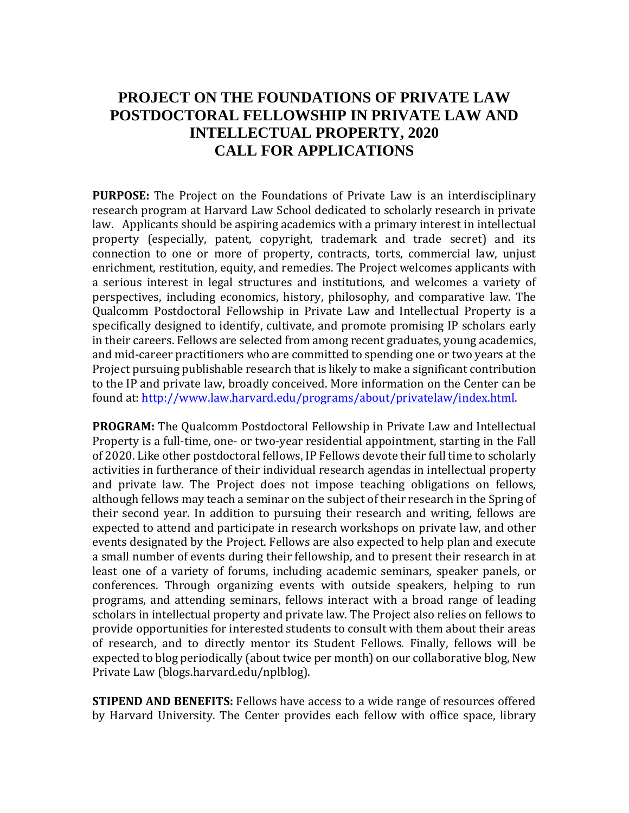## **PROJECT ON THE FOUNDATIONS OF PRIVATE LAW POSTDOCTORAL FELLOWSHIP IN PRIVATE LAW AND INTELLECTUAL PROPERTY, 2020 CALL FOR APPLICATIONS**

**PURPOSE:** The Project on the Foundations of Private Law is an interdisciplinary research program at Harvard Law School dedicated to scholarly research in private law. Applicants should be aspiring academics with a primary interest in intellectual property (especially, patent, copyright, trademark and trade secret) and its connection to one or more of property, contracts, torts, commercial law, unjust enrichment, restitution, equity, and remedies. The Project welcomes applicants with a serious interest in legal structures and institutions, and welcomes a variety of perspectives, including economics, history, philosophy, and comparative law. The Qualcomm Postdoctoral Fellowship in Private Law and Intellectual Property is a specifically designed to identify, cultivate, and promote promising IP scholars early in their careers. Fellows are selected from among recent graduates, young academics, and mid-career practitioners who are committed to spending one or two years at the Project pursuing publishable research that is likely to make a significant contribution to the IP and private law, broadly conceived. More information on the Center can be found at: [http://www.law.harvard.edu/programs/about/privatelaw/index.html.](http://www.law.harvard.edu/programs/about/privatelaw/index.html)

**PROGRAM:** The Qualcomm Postdoctoral Fellowship in Private Law and Intellectual Property is a full-time, one- or two-year residential appointment, starting in the Fall of 2020. Like other postdoctoral fellows, IP Fellows devote their full time to scholarly activities in furtherance of their individual research agendas in intellectual property and private law. The Project does not impose teaching obligations on fellows, although fellows may teach a seminar on the subject of their research in the Spring of their second year. In addition to pursuing their research and writing, fellows are expected to attend and participate in research workshops on private law, and other events designated by the Project. Fellows are also expected to help plan and execute a small number of events during their fellowship, and to present their research in at least one of a variety of forums, including academic seminars, speaker panels, or conferences. Through organizing events with outside speakers, helping to run programs, and attending seminars, fellows interact with a broad range of leading scholars in intellectual property and private law. The Project also relies on fellows to provide opportunities for interested students to consult with them about their areas of research, and to directly mentor its Student Fellows. Finally, fellows will be expected to blog periodically (about twice per month) on our collaborative blog, New Private Law (blogs.harvard.edu/nplblog).

**STIPEND AND BENEFITS:** Fellows have access to a wide range of resources offered by Harvard University. The Center provides each fellow with office space, library